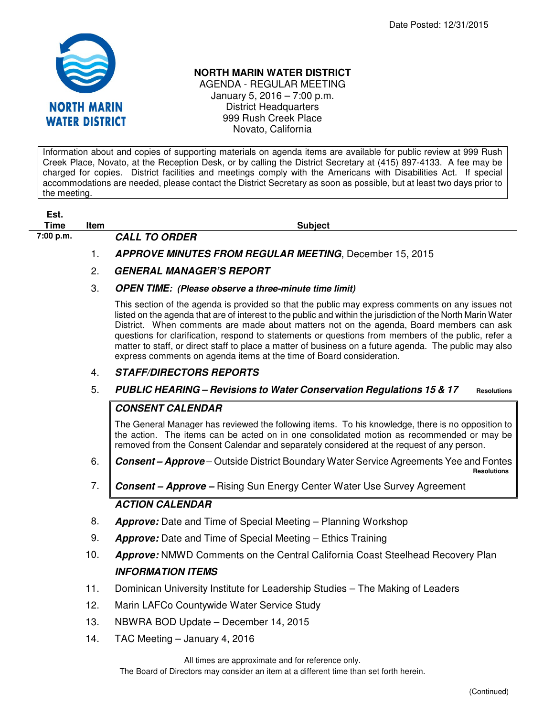

# **NORTH MARIN WATER DISTRICT**

AGENDA - REGULAR MEETING January 5, 2016 – 7:00 p.m. District Headquarters 999 Rush Creek Place Novato, California

Information about and copies of supporting materials on agenda items are available for public review at 999 Rush Creek Place, Novato, at the Reception Desk, or by calling the District Secretary at (415) 897-4133. A fee may be charged for copies. District facilities and meetings comply with the Americans with Disabilities Act. If special accommodations are needed, please contact the District Secretary as soon as possible, but at least two days prior to the meeting.

| Est.<br>Time | <b>Item</b> |                      | <b>Subject</b> |
|--------------|-------------|----------------------|----------------|
| 7:00 p.m.    |             | <b>CALL TO ORDER</b> |                |

- 1. **APPROVE MINUTES FROM REGULAR MEETING**, December 15, 2015
- 2. **GENERAL MANAGER'S REPORT**

#### 3. **OPEN TIME: (Please observe a three-minute time limit)**

This section of the agenda is provided so that the public may express comments on any issues not listed on the agenda that are of interest to the public and within the jurisdiction of the North Marin Water District. When comments are made about matters not on the agenda, Board members can ask questions for clarification, respond to statements or questions from members of the public, refer a matter to staff, or direct staff to place a matter of business on a future agenda. The public may also express comments on agenda items at the time of Board consideration.

#### 4. **STAFF/DIRECTORS REPORTS**

## 5. **PUBLIC HEARING – Revisions to Water Conservation Regulations 15 & 17 Resolutions**

## **CONSENT CALENDAR**

The General Manager has reviewed the following items. To his knowledge, there is no opposition to the action. The items can be acted on in one consolidated motion as recommended or may be removed from the Consent Calendar and separately considered at the request of any person.

- 6. **Consent Approve** Outside District Boundary Water Service Agreements Yee and Fontes **Productions**<br> **Resolutions**
- 7. **Consent Approve** Rising Sun Energy Center Water Use Survey Agreement

## **ACTION CALENDAR**

- 8. **Approve:** Date and Time of Special Meeting Planning Workshop
- 9. **Approve:** Date and Time of Special Meeting Ethics Training
- 10. **Approve:** NMWD Comments on the Central California Coast Steelhead Recovery Plan **INFORMATION ITEMS**
- 11. Dominican University Institute for Leadership Studies The Making of Leaders
- 12. Marin LAFCo Countywide Water Service Study
- 13. NBWRA BOD Update December 14, 2015
- 14. TAC Meeting January 4, 2016

All times are approximate and for reference only.

The Board of Directors may consider an item at a different time than set forth herein.